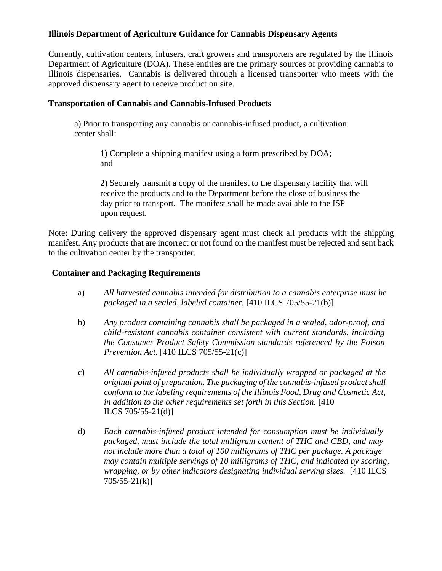## **Illinois Department of Agriculture Guidance for Cannabis Dispensary Agents**

Currently, cultivation centers, infusers, craft growers and transporters are regulated by the Illinois Department of Agriculture (DOA). These entities are the primary sources of providing cannabis to Illinois dispensaries. Cannabis is delivered through a licensed transporter who meets with the approved dispensary agent to receive product on site.

## **Transportation of Cannabis and Cannabis-Infused Products**

a) Prior to transporting any cannabis or cannabis-infused product, a cultivation center shall:

1) Complete a shipping manifest using a form prescribed by DOA; and

2) Securely transmit a copy of the manifest to the dispensary facility that will receive the products and to the Department before the close of business the day prior to transport. The manifest shall be made available to the ISP upon request.

Note: During delivery the approved dispensary agent must check all products with the shipping manifest. Any products that are incorrect or not found on the manifest must be rejected and sent back to the cultivation center by the transporter.

## **Container and Packaging Requirements**

- a) *All harvested cannabis intended for distribution to a cannabis enterprise must be packaged in a sealed, labeled container.* [410 ILCS 705/55-21(b)]
- b) *Any product containing cannabis shall be packaged in a sealed, odor-proof, and child-resistant cannabis container consistent with current standards, including the Consumer Product Safety Commission standards referenced by the Poison Prevention Act.* [410 ILCS 705/55-21(c)]
- c) *All cannabis-infused products shall be individually wrapped or packaged at the original point of preparation. The packaging of the cannabis-infused product shall conform to the labeling requirements of the Illinois Food, Drug and Cosmetic Act, in addition to the other requirements set forth in this Section.* [410 ILCS 705/55-21(d)]
- d) *Each cannabis-infused product intended for consumption must be individually packaged, must include the total milligram content of THC and CBD, and may not include more than a total of 100 milligrams of THC per package. A package may contain multiple servings of 10 milligrams of THC, and indicated by scoring, wrapping, or by other indicators designating individual serving sizes.* [410 ILCS 705/55-21(k)]